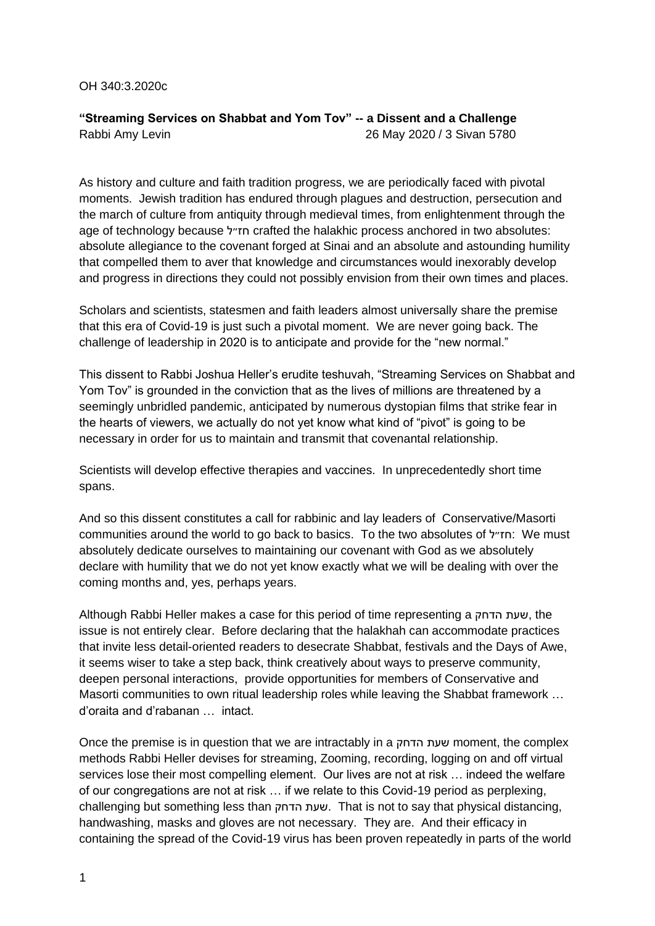## OH 340:3.2020c

## **"Streaming Services on Shabbat and Yom Tov" -- a Dissent and a Challenge** Rabbi Amy Levin 26 May 2020 / 3 Sivan 5780

As history and culture and faith tradition progress, we are periodically faced with pivotal moments. Jewish tradition has endured through plagues and destruction, persecution and the march of culture from antiquity through medieval times, from enlightenment through the age of technology because חז״ל crafted the halakhic process anchored in two absolutes: absolute allegiance to the covenant forged at Sinai and an absolute and astounding humility that compelled them to aver that knowledge and circumstances would inexorably develop and progress in directions they could not possibly envision from their own times and places.

Scholars and scientists, statesmen and faith leaders almost universally share the premise that this era of Covid-19 is just such a pivotal moment. We are never going back. The challenge of leadership in 2020 is to anticipate and provide for the "new normal."

This dissent to Rabbi Joshua Heller's erudite teshuvah, "Streaming Services on Shabbat and Yom Tov" is grounded in the conviction that as the lives of millions are threatened by a seemingly unbridled pandemic, anticipated by numerous dystopian films that strike fear in the hearts of viewers, we actually do not yet know what kind of "pivot" is going to be necessary in order for us to maintain and transmit that covenantal relationship.

Scientists will develop effective therapies and vaccines. In unprecedentedly short time spans.

And so this dissent constitutes a call for rabbinic and lay leaders of Conservative/Masorti communities around the world to go back to basics. To the two absolutes of חז״ל: We must absolutely dedicate ourselves to maintaining our covenant with God as we absolutely declare with humility that we do not yet know exactly what we will be dealing with over the coming months and, yes, perhaps years.

Although Rabbi Heller makes a case for this period of time representing a הדחק שעת, the issue is not entirely clear. Before declaring that the halakhah can accommodate practices that invite less detail-oriented readers to desecrate Shabbat, festivals and the Days of Awe, it seems wiser to take a step back, think creatively about ways to preserve community, deepen personal interactions, provide opportunities for members of Conservative and Masorti communities to own ritual leadership roles while leaving the Shabbat framework … d'oraita and d'rabanan … intact.

Once the premise is in question that we are intractably in a הדחק שעת moment, the complex methods Rabbi Heller devises for streaming, Zooming, recording, logging on and off virtual services lose their most compelling element. Our lives are not at risk … indeed the welfare of our congregations are not at risk … if we relate to this Covid-19 period as perplexing, challenging but something less than הדחק שעת. That is not to say that physical distancing, handwashing, masks and gloves are not necessary. They are. And their efficacy in containing the spread of the Covid-19 virus has been proven repeatedly in parts of the world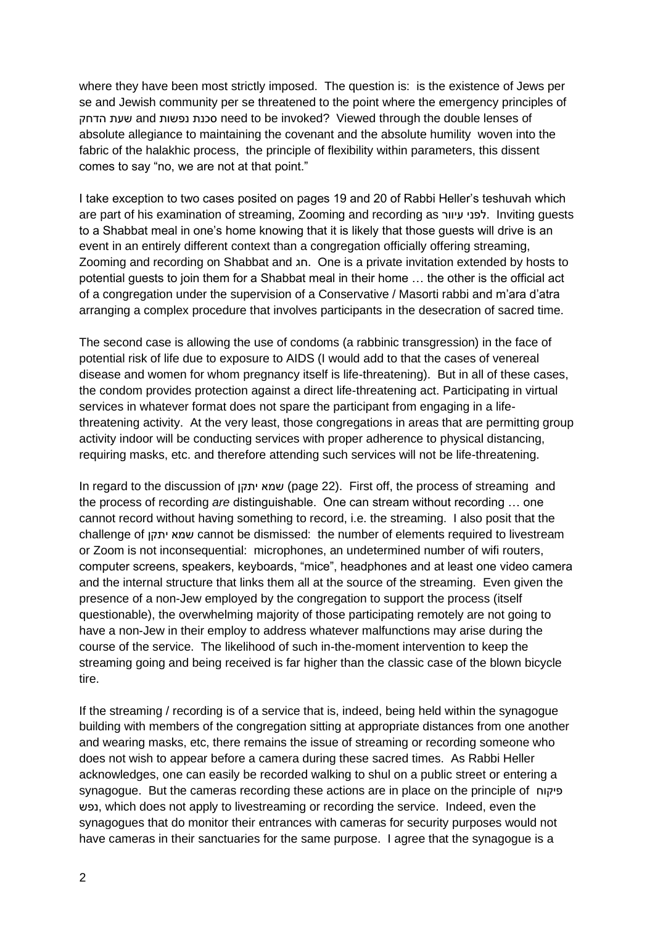where they have been most strictly imposed. The question is: is the existence of Jews per se and Jewish community per se threatened to the point where the emergency principles of הדחק שעת and נפשות סכנת need to be invoked? Viewed through the double lenses of absolute allegiance to maintaining the covenant and the absolute humility woven into the fabric of the halakhic process, the principle of flexibility within parameters, this dissent comes to say "no, we are not at that point."

I take exception to two cases posited on pages 19 and 20 of Rabbi Heller's teshuvah which are part of his examination of streaming, Zooming and recording as עיוור לפני. Inviting guests to a Shabbat meal in one's home knowing that it is likely that those guests will drive is an event in an entirely different context than a congregation officially offering streaming, Zooming and recording on Shabbat and חג. One is a private invitation extended by hosts to potential guests to join them for a Shabbat meal in their home … the other is the official act of a congregation under the supervision of a Conservative / Masorti rabbi and m'ara d'atra arranging a complex procedure that involves participants in the desecration of sacred time.

The second case is allowing the use of condoms (a rabbinic transgression) in the face of potential risk of life due to exposure to AIDS (I would add to that the cases of venereal disease and women for whom pregnancy itself is life-threatening). But in all of these cases, the condom provides protection against a direct life-threatening act. Participating in virtual services in whatever format does not spare the participant from engaging in a lifethreatening activity. At the very least, those congregations in areas that are permitting group activity indoor will be conducting services with proper adherence to physical distancing, requiring masks, etc. and therefore attending such services will not be life-threatening.

In regard to the discussion of יתקן שמא) page 22). First off, the process of streaming and the process of recording *are* distinguishable. One can stream without recording … one cannot record without having something to record, i.e. the streaming. I also posit that the challenge of יתקן שמא cannot be dismissed: the number of elements required to livestream or Zoom is not inconsequential: microphones, an undetermined number of wifi routers, computer screens, speakers, keyboards, "mice", headphones and at least one video camera and the internal structure that links them all at the source of the streaming. Even given the presence of a non-Jew employed by the congregation to support the process (itself questionable), the overwhelming majority of those participating remotely are not going to have a non-Jew in their employ to address whatever malfunctions may arise during the course of the service. The likelihood of such in-the-moment intervention to keep the streaming going and being received is far higher than the classic case of the blown bicycle tire.

If the streaming / recording is of a service that is, indeed, being held within the synagogue building with members of the congregation sitting at appropriate distances from one another and wearing masks, etc, there remains the issue of streaming or recording someone who does not wish to appear before a camera during these sacred times. As Rabbi Heller acknowledges, one can easily be recorded walking to shul on a public street or entering a synagogue. But the cameras recording these actions are in place on the principle of פיקוח נפש, which does not apply to livestreaming or recording the service. Indeed, even the synagogues that do monitor their entrances with cameras for security purposes would not have cameras in their sanctuaries for the same purpose. I agree that the synagogue is a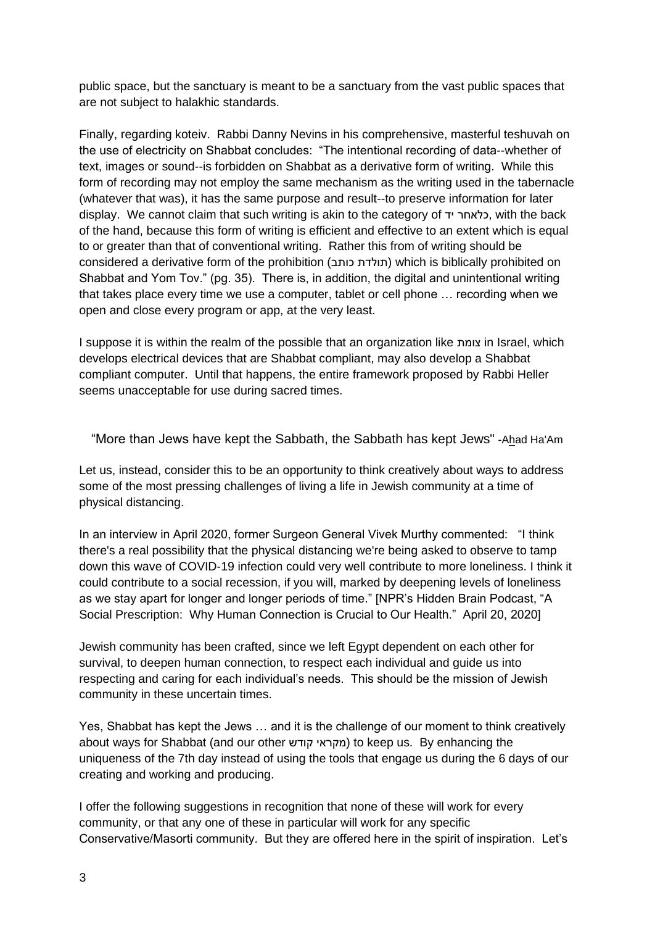public space, but the sanctuary is meant to be a sanctuary from the vast public spaces that are not subject to halakhic standards.

Finally, regarding koteiv. Rabbi Danny Nevins in his comprehensive, masterful teshuvah on the use of electricity on Shabbat concludes: "The intentional recording of data--whether of text, images or sound--is forbidden on Shabbat as a derivative form of writing. While this form of recording may not employ the same mechanism as the writing used in the tabernacle (whatever that was), it has the same purpose and result--to preserve information for later display. We cannot claim that such writing is akin to the category of יד כלאחר, with the back of the hand, because this form of writing is efficient and effective to an extent which is equal to or greater than that of conventional writing. Rather this from of writing should be considered a derivative form of the prohibition ( כותב תולדת (which is biblically prohibited on Shabbat and Yom Tov." (pg. 35). There is, in addition, the digital and unintentional writing that takes place every time we use a computer, tablet or cell phone … recording when we open and close every program or app, at the very least.

I suppose it is within the realm of the possible that an organization like צומת in Israel, which develops electrical devices that are Shabbat compliant, may also develop a Shabbat compliant computer. Until that happens, the entire framework proposed by Rabbi Heller seems unacceptable for use during sacred times.

"More than Jews have kept the Sabbath, the Sabbath has kept Jews" -Ahad Ha'Am

Let us, instead, consider this to be an opportunity to think creatively about ways to address some of the most pressing challenges of living a life in Jewish community at a time of physical distancing.

In an interview in April 2020, former Surgeon General Vivek Murthy commented: "I think there's a real possibility that the physical distancing we're being asked to observe to tamp down this wave of COVID-19 infection could very well contribute to more loneliness. I think it could contribute to a social recession, if you will, marked by deepening levels of loneliness as we stay apart for longer and longer periods of time." [NPR's Hidden Brain Podcast, "A Social Prescription: Why Human Connection is Crucial to Our Health." April 20, 2020]

Jewish community has been crafted, since we left Egypt dependent on each other for survival, to deepen human connection, to respect each individual and guide us into respecting and caring for each individual's needs. This should be the mission of Jewish community in these uncertain times.

Yes, Shabbat has kept the Jews … and it is the challenge of our moment to think creatively about ways for Shabbat (and our other קודש מקראי (to keep us. By enhancing the uniqueness of the 7th day instead of using the tools that engage us during the 6 days of our creating and working and producing.

I offer the following suggestions in recognition that none of these will work for every community, or that any one of these in particular will work for any specific Conservative/Masorti community. But they are offered here in the spirit of inspiration. Let's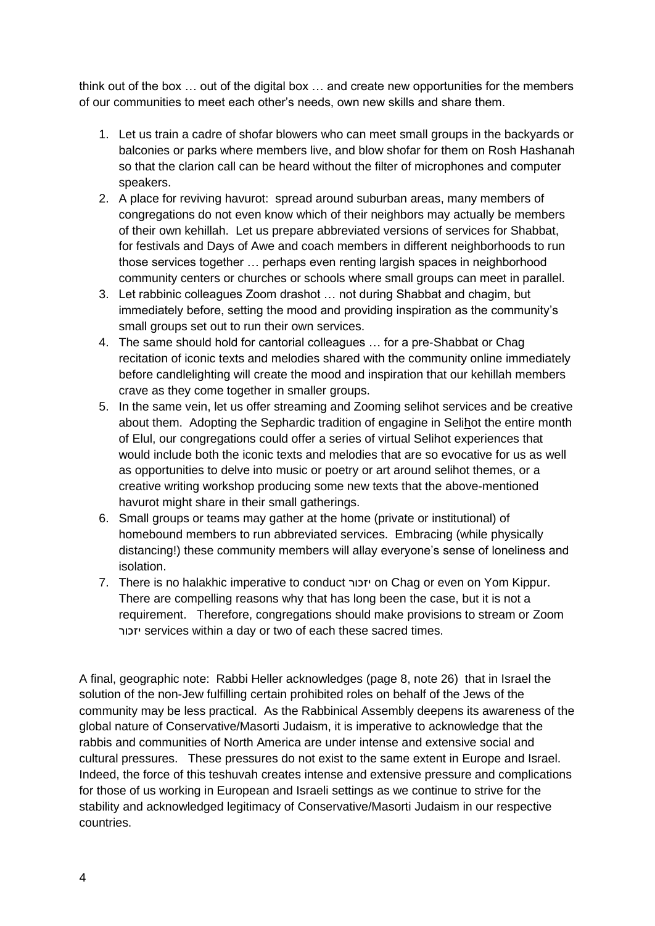think out of the box … out of the digital box … and create new opportunities for the members of our communities to meet each other's needs, own new skills and share them.

- 1. Let us train a cadre of shofar blowers who can meet small groups in the backyards or balconies or parks where members live, and blow shofar for them on Rosh Hashanah so that the clarion call can be heard without the filter of microphones and computer speakers.
- 2. A place for reviving havurot: spread around suburban areas, many members of congregations do not even know which of their neighbors may actually be members of their own kehillah. Let us prepare abbreviated versions of services for Shabbat, for festivals and Days of Awe and coach members in different neighborhoods to run those services together … perhaps even renting largish spaces in neighborhood community centers or churches or schools where small groups can meet in parallel.
- 3. Let rabbinic colleagues Zoom drashot … not during Shabbat and chagim, but immediately before, setting the mood and providing inspiration as the community's small groups set out to run their own services.
- 4. The same should hold for cantorial colleagues … for a pre-Shabbat or Chag recitation of iconic texts and melodies shared with the community online immediately before candlelighting will create the mood and inspiration that our kehillah members crave as they come together in smaller groups.
- 5. In the same vein, let us offer streaming and Zooming selihot services and be creative about them. Adopting the Sephardic tradition of engagine in Selihot the entire month of Elul, our congregations could offer a series of virtual Selihot experiences that would include both the iconic texts and melodies that are so evocative for us as well as opportunities to delve into music or poetry or art around selihot themes, or a creative writing workshop producing some new texts that the above-mentioned havurot might share in their small gatherings.
- 6. Small groups or teams may gather at the home (private or institutional) of homebound members to run abbreviated services. Embracing (while physically distancing!) these community members will allay everyone's sense of loneliness and isolation.
- 7. There is no halakhic imperative to conduct יזכור on Chag or even on Yom Kippur. There are compelling reasons why that has long been the case, but it is not a requirement. Therefore, congregations should make provisions to stream or Zoom יזכור services within a day or two of each these sacred times.

A final, geographic note: Rabbi Heller acknowledges (page 8, note 26) that in Israel the solution of the non-Jew fulfilling certain prohibited roles on behalf of the Jews of the community may be less practical. As the Rabbinical Assembly deepens its awareness of the global nature of Conservative/Masorti Judaism, it is imperative to acknowledge that the rabbis and communities of North America are under intense and extensive social and cultural pressures. These pressures do not exist to the same extent in Europe and Israel. Indeed, the force of this teshuvah creates intense and extensive pressure and complications for those of us working in European and Israeli settings as we continue to strive for the stability and acknowledged legitimacy of Conservative/Masorti Judaism in our respective countries.